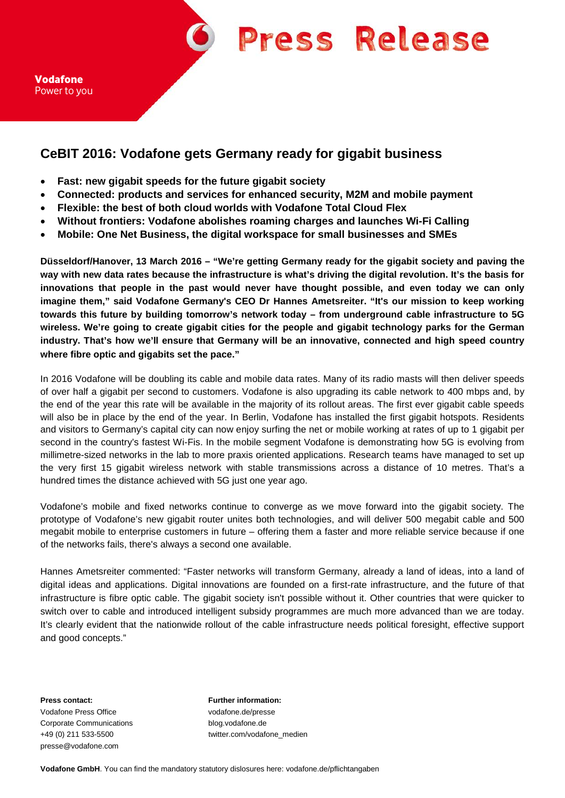**Press Release** 

# **CeBIT 2016: Vodafone gets Germany ready for gigabit business**

- **Fast: new gigabit speeds for the future gigabit society**
- **Connected: products and services for enhanced security, M2M and mobile payment**
- **Flexible: the best of both cloud worlds with Vodafone Total Cloud Flex**
- **Without frontiers: Vodafone abolishes roaming charges and launches Wi-Fi Calling**
- **Mobile: One Net Business, the digital workspace for small businesses and SMEs**

**Düsseldorf/Hanover, 13 March 2016 – "We're getting Germany ready for the gigabit society and paving the way with new data rates because the infrastructure is what's driving the digital revolution. It's the basis for innovations that people in the past would never have thought possible, and even today we can only imagine them," said Vodafone Germany's CEO Dr Hannes Ametsreiter. "It's our mission to keep working towards this future by building tomorrow's network today – from underground cable infrastructure to 5G wireless. We're going to create gigabit cities for the people and gigabit technology parks for the German industry. That's how we'll ensure that Germany will be an innovative, connected and high speed country where fibre optic and gigabits set the pace."**

In 2016 Vodafone will be doubling its cable and mobile data rates. Many of its radio masts will then deliver speeds of over half a gigabit per second to customers. Vodafone is also upgrading its cable network to 400 mbps and, by the end of the year this rate will be available in the majority of its rollout areas. The first ever gigabit cable speeds will also be in place by the end of the year. In Berlin, Vodafone has installed the first gigabit hotspots. Residents and visitors to Germany's capital city can now enjoy surfing the net or mobile working at rates of up to 1 gigabit per second in the country's fastest Wi-Fis. In the mobile segment Vodafone is demonstrating how 5G is evolving from millimetre-sized networks in the lab to more praxis oriented applications. Research teams have managed to set up the very first 15 gigabit wireless network with stable transmissions across a distance of 10 metres. That's a hundred times the distance achieved with 5G just one year ago.

Vodafone's mobile and fixed networks continue to converge as we move forward into the gigabit society. The prototype of Vodafone's new gigabit router unites both technologies, and will deliver 500 megabit cable and 500 megabit mobile to enterprise customers in future – offering them a faster and more reliable service because if one of the networks fails, there's always a second one available.

Hannes Ametsreiter commented: "Faster networks will transform Germany, already a land of ideas, into a land of digital ideas and applications. Digital innovations are founded on a first-rate infrastructure, and the future of that infrastructure is fibre optic cable. The gigabit society isn't possible without it. Other countries that were quicker to switch over to cable and introduced intelligent subsidy programmes are much more advanced than we are today. It's clearly evident that the nationwide rollout of the cable infrastructure needs political foresight, effective support and good concepts."

**Press contact: Further information:** Vodafone Press Office vodafone.de/presse Corporate Communications blog.vodafone.de presse@vodafone.com

+49 (0) 211 533-5500 twitter.com/vodafone\_medien

**Vodafone GmbH**. You can find the mandatory statutory dislosures here: vodafone.de/pflichtangaben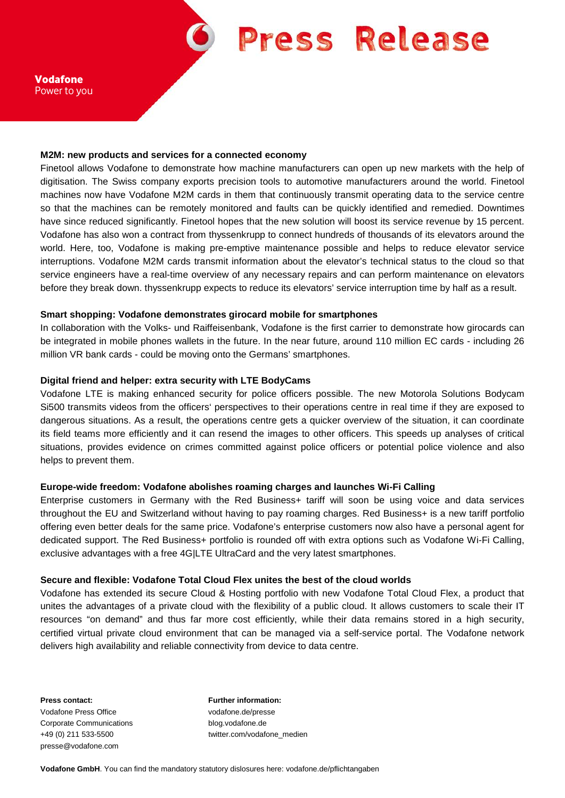**Press Release** 

#### **M2M: new products and services for a connected economy**

Finetool allows Vodafone to demonstrate how machine manufacturers can open up new markets with the help of digitisation. The Swiss company exports precision tools to automotive manufacturers around the world. Finetool machines now have Vodafone M2M cards in them that continuously transmit operating data to the service centre so that the machines can be remotely monitored and faults can be quickly identified and remedied. Downtimes have since reduced significantly. Finetool hopes that the new solution will boost its service revenue by 15 percent. Vodafone has also won a contract from thyssenkrupp to connect hundreds of thousands of its elevators around the world. Here, too, Vodafone is making pre-emptive maintenance possible and helps to reduce elevator service interruptions. Vodafone M2M cards transmit information about the elevator's technical status to the cloud so that service engineers have a real-time overview of any necessary repairs and can perform maintenance on elevators before they break down. thyssenkrupp expects to reduce its elevators' service interruption time by half as a result.

#### **Smart shopping: Vodafone demonstrates girocard mobile for smartphones**

In collaboration with the Volks- und Raiffeisenbank, Vodafone is the first carrier to demonstrate how girocards can be integrated in mobile phones wallets in the future. In the near future, around 110 million EC cards - including 26 million VR bank cards - could be moving onto the Germans' smartphones.

#### **Digital friend and helper: extra security with LTE BodyCams**

Vodafone LTE is making enhanced security for police officers possible. The new Motorola Solutions Bodycam Si500 transmits videos from the officers' perspectives to their operations centre in real time if they are exposed to dangerous situations. As a result, the operations centre gets a quicker overview of the situation, it can coordinate its field teams more efficiently and it can resend the images to other officers. This speeds up analyses of critical situations, provides evidence on crimes committed against police officers or potential police violence and also helps to prevent them.

#### **Europe-wide freedom: Vodafone abolishes roaming charges and launches Wi-Fi Calling**

Enterprise customers in Germany with the Red Business+ tariff will soon be using voice and data services throughout the EU and Switzerland without having to pay roaming charges. Red Business+ is a new tariff portfolio offering even better deals for the same price. Vodafone's enterprise customers now also have a personal agent for dedicated support. The Red Business+ portfolio is rounded off with extra options such as Vodafone Wi-Fi Calling, exclusive advantages with a free 4G|LTE UltraCard and the very latest smartphones.

#### **Secure and flexible: Vodafone Total Cloud Flex unites the best of the cloud worlds**

Vodafone has extended its secure Cloud & Hosting portfolio with new Vodafone Total Cloud Flex, a product that unites the advantages of a private cloud with the flexibility of a public cloud. It allows customers to scale their IT resources "on demand" and thus far more cost efficiently, while their data remains stored in a high security, certified virtual private cloud environment that can be managed via a self-service portal. The Vodafone network delivers high availability and reliable connectivity from device to data centre.

Vodafone Press Office vodafone.de/presse Corporate Communications blog.vodafone.de presse@vodafone.com

**Press contact: Further information:** +49 (0) 211 533-5500 twitter.com/vodafone\_medien